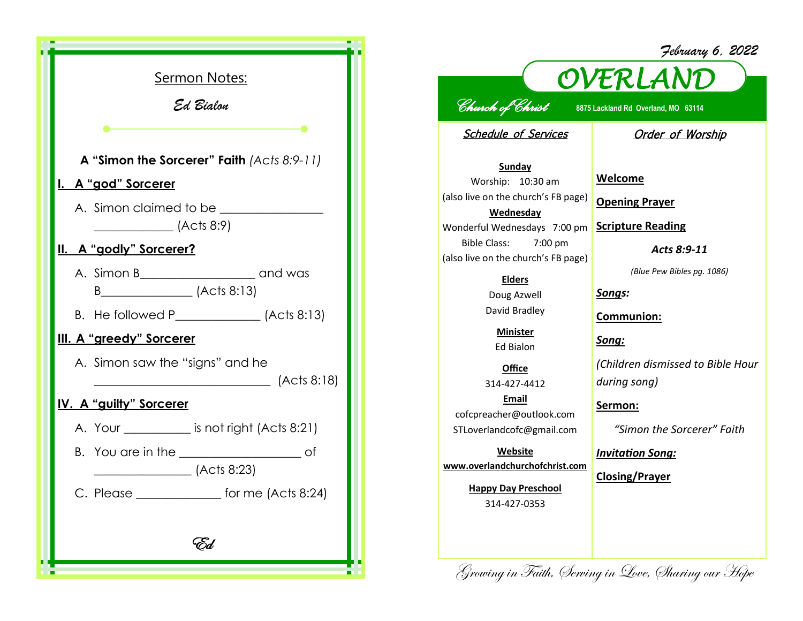| <b>Sermon Notes:</b><br>Ed Bialon                             |
|---------------------------------------------------------------|
|                                                               |
| A "Simon the Sorcerer" Faith (Acts 8:9-11)                    |
| <u>I. A "god" Sorcerer</u>                                    |
| A. Simon claimed to be<br>$\overline{\phantom{0}}$ (Acts 8:9) |
| II. A "godly" Sorcerer?                                       |
|                                                               |
|                                                               |
| III. A "greedy" Sorcerer                                      |
| A. Simon saw the "signs" and he<br>(Acts 8:18)                |
| <u>IV. A "guilty" Sorcerer</u>                                |
| A. Your ___________ is not right (Acts 8:21)                  |
| (Acts 8:23)                                                   |
| C. Please<br>for me $(Acts 8:24)$                             |
| Ed                                                            |

## *February 6, 2022*



## *Church of Christ* **8875 Lackland Rd Overland, MO 63114**

Schedule of Services

Order of Worship

**Sunday** Worship: 10:30 am (also live on the church's FB page) **Wednesday** Wonderful Wednesdays 7:00 pm Bible Class: 7:00 pm (also live on the church's FB page)

> **Elders** Doug Azwell David Bradley

**Minister** Ed Bialon

**Office** 314-427-4412 **Email** cofcpreacher@outlook.com STLoverlandcofc@gmail.com

**Website www.overlandchurchofchrist.com**

> **Happy Day Preschool** 314-427-0353

**Welcome**

**Opening Prayer**

**Scripture Reading**

*Acts 8:9-11*

*(Blue Pew Bibles pg. 1086)*

*Songs:*

**Communion:**

*Song:*

*(Children dismissed to Bible Hour during song)*

**Sermon:** 

*"Simon the Sorcerer" Faith*

*Invitation Song:*

**Closing/Prayer**

Growing in Faith, Serving in Love, Sharing our Hope